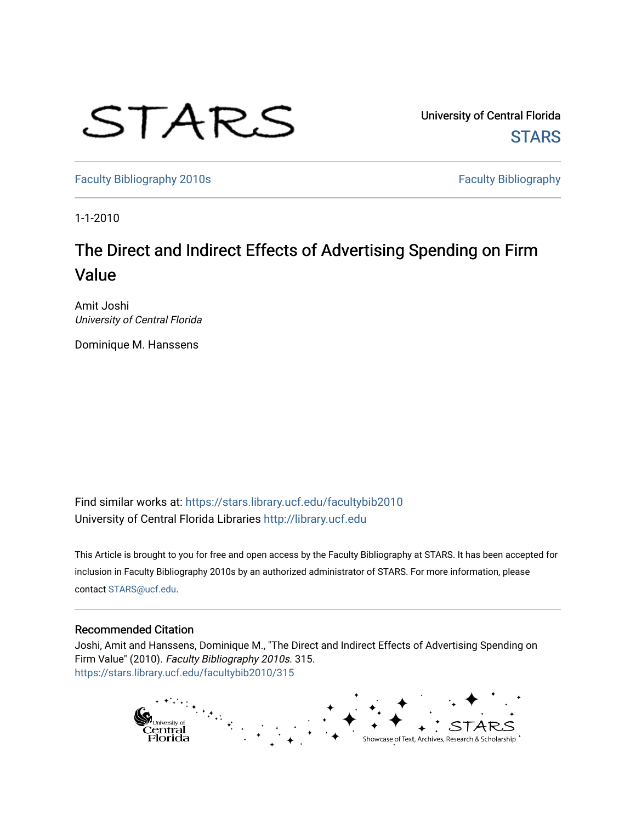# STARS

University of Central Florida **STARS** 

[Faculty Bibliography 2010s](https://stars.library.ucf.edu/facultybib2010) **Faculty Bibliography** 

1-1-2010

# The Direct and Indirect Effects of Advertising Spending on Firm Value

Amit Joshi University of Central Florida

Dominique M. Hanssens

Find similar works at: <https://stars.library.ucf.edu/facultybib2010> University of Central Florida Libraries [http://library.ucf.edu](http://library.ucf.edu/) 

This Article is brought to you for free and open access by the Faculty Bibliography at STARS. It has been accepted for inclusion in Faculty Bibliography 2010s by an authorized administrator of STARS. For more information, please contact [STARS@ucf.edu.](mailto:STARS@ucf.edu)

#### Recommended Citation

Joshi, Amit and Hanssens, Dominique M., "The Direct and Indirect Effects of Advertising Spending on Firm Value" (2010). Faculty Bibliography 2010s. 315. [https://stars.library.ucf.edu/facultybib2010/315](https://stars.library.ucf.edu/facultybib2010/315?utm_source=stars.library.ucf.edu%2Ffacultybib2010%2F315&utm_medium=PDF&utm_campaign=PDFCoverPages)

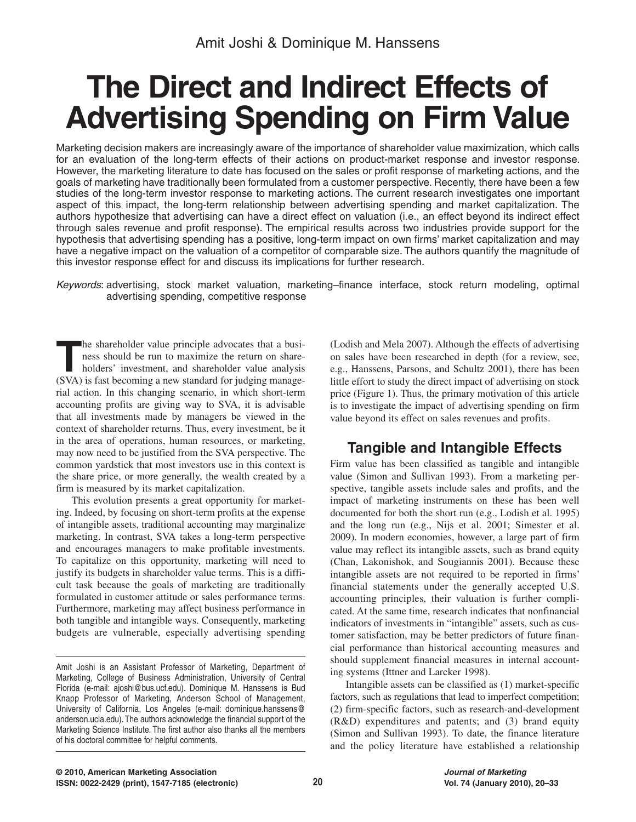# **The Direct and Indirect Effects of Advertising Spending on Firm Value**

Marketing decision makers are increasingly aware of the importance of shareholder value maximization, which calls for an evaluation of the long-term effects of their actions on product-market response and investor response. However, the marketing literature to date has focused on the sales or profit response of marketing actions, and the goals of marketing have traditionally been formulated from a customer perspective. Recently, there have been a few studies of the long-term investor response to marketing actions. The current research investigates one important aspect of this impact, the long-term relationship between advertising spending and market capitalization. The authors hypothesize that advertising can have a direct effect on valuation (i.e., an effect beyond its indirect effect through sales revenue and profit response). The empirical results across two industries provide support for the hypothesis that advertising spending has a positive, long-term impact on own firms' market capitalization and may have a negative impact on the valuation of a competitor of comparable size. The authors quantify the magnitude of this investor response effect for and discuss its implications for further research.

*Keywords*: advertising, stock market valuation, marketing–finance interface, stock return modeling, optimal advertising spending, competitive response

**T**he shareholder value principle advocates that <sup>a</sup> business should be run to maximize the return on shareholders' investment, and shareholder value analysis (SVA) is fast becoming a new standard for judging managerial action. In this changing scenario, in which short-term accounting profits are giving way to SVA, it is advisable that all investments made by managers be viewed in the context of shareholder returns. Thus, every investment, be it in the area of operations, human resources, or marketing, may now need to be justified from the SVA perspective. The common yardstick that most investors use in this context is the share price, or more generally, the wealth created by a firm is measured by its market capitalization.

This evolution presents a great opportunity for marketing. Indeed, by focusing on short-term profits at the expense of intangible assets, traditional accounting may marginalize marketing. In contrast, SVA takes a long-term perspective and encourages managers to make profitable investments. To capitalize on this opportunity, marketing will need to justify its budgets in shareholder value terms. This is a difficult task because the goals of marketing are traditionally formulated in customer attitude or sales performance terms. Furthermore, marketing may affect business performance in both tangible and intangible ways. Consequently, marketing budgets are vulnerable, especially advertising spending

(Lodish and Mela 2007). Although the effects of advertising on sales have been researched in depth (for a review, see, e.g., Hanssens, Parsons, and Schultz 2001), there has been little effort to study the direct impact of advertising on stock price (Figure 1). Thus, the primary motivation of this article is to investigate the impact of advertising spending on firm value beyond its effect on sales revenues and profits.

# **Tangible and Intangible Effects**

Firm value has been classified as tangible and intangible value (Simon and Sullivan 1993). From a marketing perspective, tangible assets include sales and profits, and the impact of marketing instruments on these has been well documented for both the short run (e.g., Lodish et al. 1995) and the long run (e.g., Nijs et al. 2001; Simester et al. 2009). In modern economies, however, a large part of firm value may reflect its intangible assets, such as brand equity (Chan, Lakonishok, and Sougiannis 2001). Because these intangible assets are not required to be reported in firms' financial statements under the generally accepted U.S. accounting principles, their valuation is further complicated. At the same time, research indicates that nonfinancial indicators of investments in "intangible" assets, such as customer satisfaction, may be better predictors of future financial performance than historical accounting measures and should supplement financial measures in internal accounting systems (Ittner and Larcker 1998).

Intangible assets can be classified as (1) market-specific factors, such as regulations that lead to imperfect competition; (2) firm-specific factors, such as research-and-development (R&D) expenditures and patents; and (3) brand equity (Simon and Sullivan 1993). To date, the finance literature and the policy literature have established a relationship

Amit Joshi is an Assistant Professor of Marketing, Department of Marketing, College of Business Administration, University of Central Florida (e-mail: [ajoshi@bus.ucf.edu\)](mailto:ajoshi@bus.ucf.edu). Dominique M. Hanssens is Bud Knapp Professor of Marketing, Anderson School of Management, University of California, Los Angeles (e-mail: [dominique.hanssens@](mailto:dominique.hanssens@anderson.ucla.edu) [anderson.ucla.edu\)](mailto:dominique.hanssens@anderson.ucla.edu). The authors acknowledge the financial support of the Marketing Science Institute. The first author also thanks all the members of his doctoral committee for helpful comments.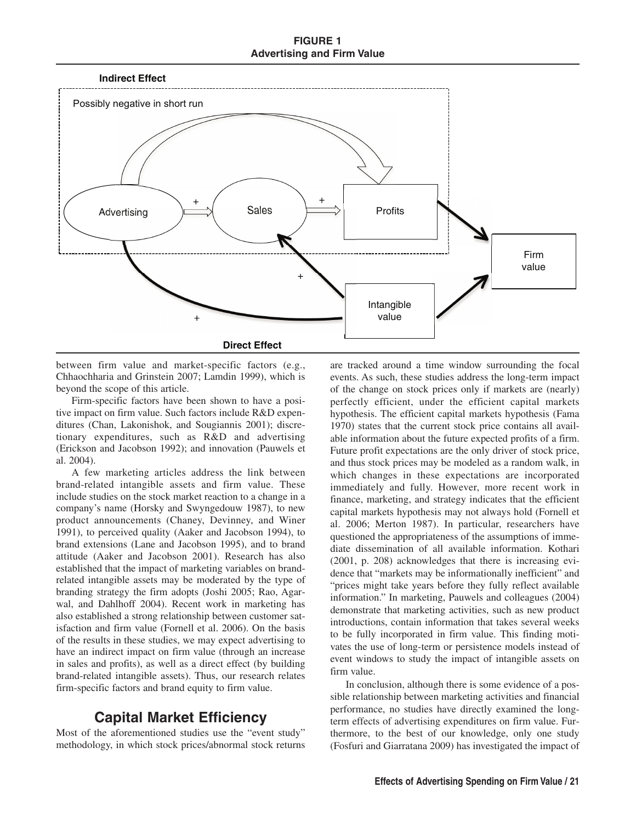**FIGURE 1 Advertising and Firm Value**



between firm value and market-specific factors (e.g., Chhaochharia and Grinstein 2007; Lamdin 1999), which is beyond the scope of this article.

Firm-specific factors have been shown to have a positive impact on firm value. Such factors include R&D expenditures (Chan, Lakonishok, and Sougiannis 2001); discretionary expenditures, such as R&D and advertising (Erickson and Jacobson 1992); and innovation (Pauwels et al. 2004).

A few marketing articles address the link between brand-related intangible assets and firm value. These include studies on the stock market reaction to a change in a company's name (Horsky and Swyngedouw 1987), to new product announcements (Chaney, Devinney, and Winer 1991), to perceived quality (Aaker and Jacobson 1994), to brand extensions (Lane and Jacobson 1995), and to brand attitude (Aaker and Jacobson 2001). Research has also established that the impact of marketing variables on brandrelated intangible assets may be moderated by the type of branding strategy the firm adopts (Joshi 2005; Rao, Agarwal, and Dahlhoff 2004). Recent work in marketing has also established a strong relationship between customer satisfaction and firm value (Fornell et al. 2006). On the basis of the results in these studies, we may expect advertising to have an indirect impact on firm value (through an increase in sales and profits), as well as a direct effect (by building brand-related intangible assets). Thus, our research relates firm-specific factors and brand equity to firm value.

# **Capital Market Efficiency**

Most of the aforementioned studies use the "event study" methodology, in which stock prices/abnormal stock returns

are tracked around a time window surrounding the focal events. As such, these studies address the long-term impact of the change on stock prices only if markets are (nearly) perfectly efficient, under the efficient capital markets hypothesis. The efficient capital markets hypothesis (Fama 1970) states that the current stock price contains all available information about the future expected profits of a firm. Future profit expectations are the only driver of stock price, and thus stock prices may be modeled as a random walk, in which changes in these expectations are incorporated immediately and fully. However, more recent work in finance, marketing, and strategy indicates that the efficient capital markets hypothesis may not always hold (Fornell et al. 2006; Merton 1987). In particular, researchers have questioned the appropriateness of the assumptions of immediate dissemination of all available information. Kothari (2001, p. 208) acknowledges that there is increasing evidence that "markets may be informationally inefficient" and "prices might take years before they fully reflect available information." In marketing, Pauwels and colleagues (2004) demonstrate that marketing activities, such as new product introductions, contain information that takes several weeks to be fully incorporated in firm value. This finding motivates the use of long-term or persistence models instead of event windows to study the impact of intangible assets on firm value.

In conclusion, although there is some evidence of a possible relationship between marketing activities and financial performance, no studies have directly examined the longterm effects of advertising expenditures on firm value. Furthermore, to the best of our knowledge, only one study (Fosfuri and Giarratana 2009) has investigated the impact of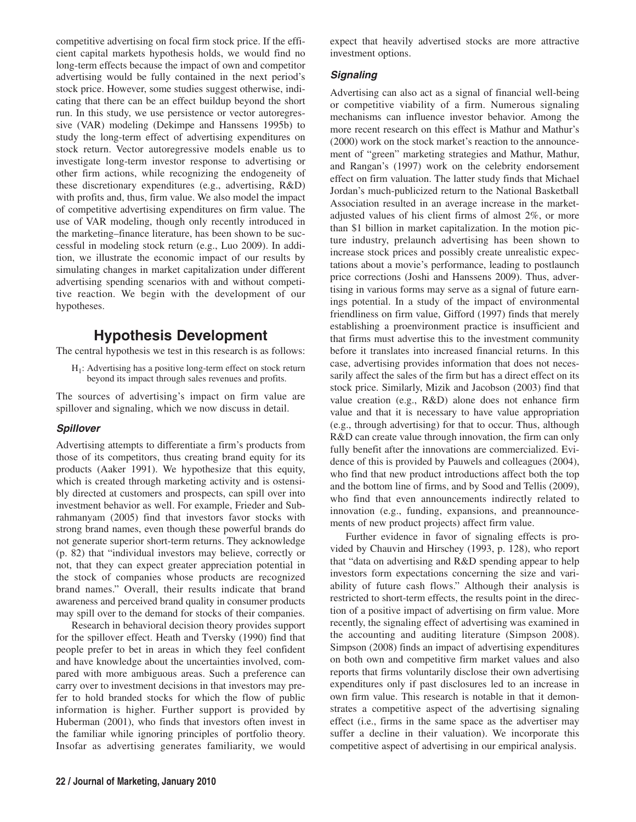competitive advertising on focal firm stock price. If the efficient capital markets hypothesis holds, we would find no long-term effects because the impact of own and competitor advertising would be fully contained in the next period's stock price. However, some studies suggest otherwise, indicating that there can be an effect buildup beyond the short run. In this study, we use persistence or vector autoregressive (VAR) modeling (Dekimpe and Hanssens 1995b) to study the long-term effect of advertising expenditures on stock return. Vector autoregressive models enable us to investigate long-term investor response to advertising or other firm actions, while recognizing the endogeneity of these discretionary expenditures (e.g., advertising, R&D) with profits and, thus, firm value. We also model the impact of competitive advertising expenditures on firm value. The use of VAR modeling, though only recently introduced in the marketing–finance literature, has been shown to be successful in modeling stock return (e.g., Luo 2009). In addition, we illustrate the economic impact of our results by simulating changes in market capitalization under different advertising spending scenarios with and without competitive reaction. We begin with the development of our hypotheses.

# **Hypothesis Development**

The central hypothesis we test in this research is as follows:

 $H<sub>1</sub>$ : Advertising has a positive long-term effect on stock return beyond its impact through sales revenues and profits.

The sources of advertising's impact on firm value are spillover and signaling, which we now discuss in detail.

#### *Spillover*

Advertising attempts to differentiate a firm's products from those of its competitors, thus creating brand equity for its products (Aaker 1991). We hypothesize that this equity, which is created through marketing activity and is ostensibly directed at customers and prospects, can spill over into investment behavior as well. For example, Frieder and Subrahmanyam (2005) find that investors favor stocks with strong brand names, even though these powerful brands do not generate superior short-term returns. They acknowledge (p. 82) that "individual investors may believe, correctly or not, that they can expect greater appreciation potential in the stock of companies whose products are recognized brand names." Overall, their results indicate that brand awareness and perceived brand quality in consumer products may spill over to the demand for stocks of their companies.

Research in behavioral decision theory provides support for the spillover effect. Heath and Tversky (1990) find that people prefer to bet in areas in which they feel confident and have knowledge about the uncertainties involved, compared with more ambiguous areas. Such a preference can carry over to investment decisions in that investors may prefer to hold branded stocks for which the flow of public information is higher. Further support is provided by Huberman (2001), who finds that investors often invest in the familiar while ignoring principles of portfolio theory. Insofar as advertising generates familiarity, we would expect that heavily advertised stocks are more attractive investment options.

#### *Signaling*

Advertising can also act as a signal of financial well-being or competitive viability of a firm. Numerous signaling mechanisms can influence investor behavior. Among the more recent research on this effect is Mathur and Mathur's (2000) work on the stock market's reaction to the announcement of "green" marketing strategies and Mathur, Mathur, and Rangan's (1997) work on the celebrity endorsement effect on firm valuation. The latter study finds that Michael Jordan's much-publicized return to the National Basketball Association resulted in an average increase in the marketadjusted values of his client firms of almost 2%, or more than \$1 billion in market capitalization. In the motion picture industry, prelaunch advertising has been shown to increase stock prices and possibly create unrealistic expectations about a movie's performance, leading to postlaunch price corrections (Joshi and Hanssens 2009). Thus, advertising in various forms may serve as a signal of future earnings potential. In a study of the impact of environmental friendliness on firm value, Gifford (1997) finds that merely establishing a proenvironment practice is insufficient and that firms must advertise this to the investment community before it translates into increased financial returns. In this case, advertising provides information that does not necessarily affect the sales of the firm but has a direct effect on its stock price. Similarly, Mizik and Jacobson (2003) find that value creation (e.g., R&D) alone does not enhance firm value and that it is necessary to have value appropriation (e.g., through advertising) for that to occur. Thus, although R&D can create value through innovation, the firm can only fully benefit after the innovations are commercialized. Evidence of this is provided by Pauwels and colleagues (2004), who find that new product introductions affect both the top and the bottom line of firms, and by Sood and Tellis (2009), who find that even announcements indirectly related to innovation (e.g., funding, expansions, and preannouncements of new product projects) affect firm value.

Further evidence in favor of signaling effects is provided by Chauvin and Hirschey (1993, p. 128), who report that "data on advertising and R&D spending appear to help investors form expectations concerning the size and variability of future cash flows." Although their analysis is restricted to short-term effects, the results point in the direction of a positive impact of advertising on firm value. More recently, the signaling effect of advertising was examined in the accounting and auditing literature (Simpson 2008). Simpson (2008) finds an impact of advertising expenditures on both own and competitive firm market values and also reports that firms voluntarily disclose their own advertising expenditures only if past disclosures led to an increase in own firm value. This research is notable in that it demonstrates a competitive aspect of the advertising signaling effect (i.e., firms in the same space as the advertiser may suffer a decline in their valuation). We incorporate this competitive aspect of advertising in our empirical analysis.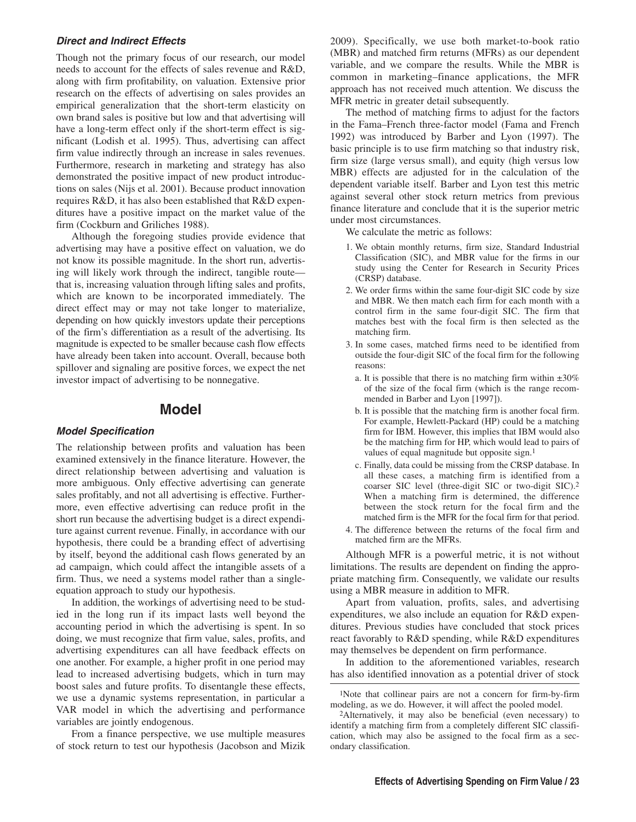#### *Direct and Indirect Effects*

Though not the primary focus of our research, our model needs to account for the effects of sales revenue and R&D, along with firm profitability, on valuation. Extensive prior research on the effects of advertising on sales provides an empirical generalization that the short-term elasticity on own brand sales is positive but low and that advertising will have a long-term effect only if the short-term effect is significant (Lodish et al. 1995). Thus, advertising can affect firm value indirectly through an increase in sales revenues. Furthermore, research in marketing and strategy has also demonstrated the positive impact of new product introductions on sales (Nijs et al. 2001). Because product innovation requires R&D, it has also been established that R&D expenditures have a positive impact on the market value of the firm (Cockburn and Griliches 1988).

Although the foregoing studies provide evidence that advertising may have a positive effect on valuation, we do not know its possible magnitude. In the short run, advertising will likely work through the indirect, tangible route that is, increasing valuation through lifting sales and profits, which are known to be incorporated immediately. The direct effect may or may not take longer to materialize, depending on how quickly investors update their perceptions of the firm's differentiation as a result of the advertising. Its magnitude is expected to be smaller because cash flow effects have already been taken into account. Overall, because both spillover and signaling are positive forces, we expect the net investor impact of advertising to be nonnegative.

#### **Model**

#### *Model Specification*

The relationship between profits and valuation has been examined extensively in the finance literature. However, the direct relationship between advertising and valuation is more ambiguous. Only effective advertising can generate sales profitably, and not all advertising is effective. Furthermore, even effective advertising can reduce profit in the short run because the advertising budget is a direct expenditure against current revenue. Finally, in accordance with our hypothesis, there could be a branding effect of advertising by itself, beyond the additional cash flows generated by an ad campaign, which could affect the intangible assets of a firm. Thus, we need a systems model rather than a singleequation approach to study our hypothesis.

In addition, the workings of advertising need to be studied in the long run if its impact lasts well beyond the accounting period in which the advertising is spent. In so doing, we must recognize that firm value, sales, profits, and advertising expenditures can all have feedback effects on one another. For example, a higher profit in one period may lead to increased advertising budgets, which in turn may boost sales and future profits. To disentangle these effects, we use a dynamic systems representation, in particular a VAR model in which the advertising and performance variables are jointly endogenous.

From a finance perspective, we use multiple measures of stock return to test our hypothesis (Jacobson and Mizik 2009). Specifically, we use both market-to-book ratio (MBR) and matched firm returns (MFRs) as our dependent variable, and we compare the results. While the MBR is common in marketing–finance applications, the MFR approach has not received much attention. We discuss the MFR metric in greater detail subsequently.

The method of matching firms to adjust for the factors in the Fama–French three-factor model (Fama and French 1992) was introduced by Barber and Lyon (1997). The basic principle is to use firm matching so that industry risk, firm size (large versus small), and equity (high versus low MBR) effects are adjusted for in the calculation of the dependent variable itself. Barber and Lyon test this metric against several other stock return metrics from previous finance literature and conclude that it is the superior metric under most circumstances.

We calculate the metric as follows:

- 1. We obtain monthly returns, firm size, Standard Industrial Classification (SIC), and MBR value for the firms in our study using the Center for Research in Security Prices (CRSP) database.
- 2. We order firms within the same four-digit SIC code by size and MBR. We then match each firm for each month with a control firm in the same four-digit SIC. The firm that matches best with the focal firm is then selected as the matching firm.
- 3. In some cases, matched firms need to be identified from outside the four-digit SIC of the focal firm for the following reasons:
	- a. It is possible that there is no matching firm within  $\pm 30\%$ of the size of the focal firm (which is the range recommended in Barber and Lyon [1997]).
	- b. It is possible that the matching firm is another focal firm. For example, Hewlett-Packard (HP) could be a matching firm for IBM. However, this implies that IBM would also be the matching firm for HP, which would lead to pairs of values of equal magnitude but opposite sign.1
	- c. Finally, data could be missing from the CRSP database. In all these cases, a matching firm is identified from a coarser SIC level (three-digit SIC or two-digit SIC).2 When a matching firm is determined, the difference between the stock return for the focal firm and the matched firm is the MFR for the focal firm for that period.
- 4. The difference between the returns of the focal firm and matched firm are the MFRs.

Although MFR is a powerful metric, it is not without limitations. The results are dependent on finding the appropriate matching firm. Consequently, we validate our results using a MBR measure in addition to MFR.

Apart from valuation, profits, sales, and advertising expenditures, we also include an equation for R&D expenditures. Previous studies have concluded that stock prices react favorably to R&D spending, while R&D expenditures may themselves be dependent on firm performance.

In addition to the aforementioned variables, research has also identified innovation as a potential driver of stock

<sup>1</sup>Note that collinear pairs are not a concern for firm-by-firm modeling, as we do. However, it will affect the pooled model.

<sup>2</sup>Alternatively, it may also be beneficial (even necessary) to identify a matching firm from a completely different SIC classification, which may also be assigned to the focal firm as a secondary classification.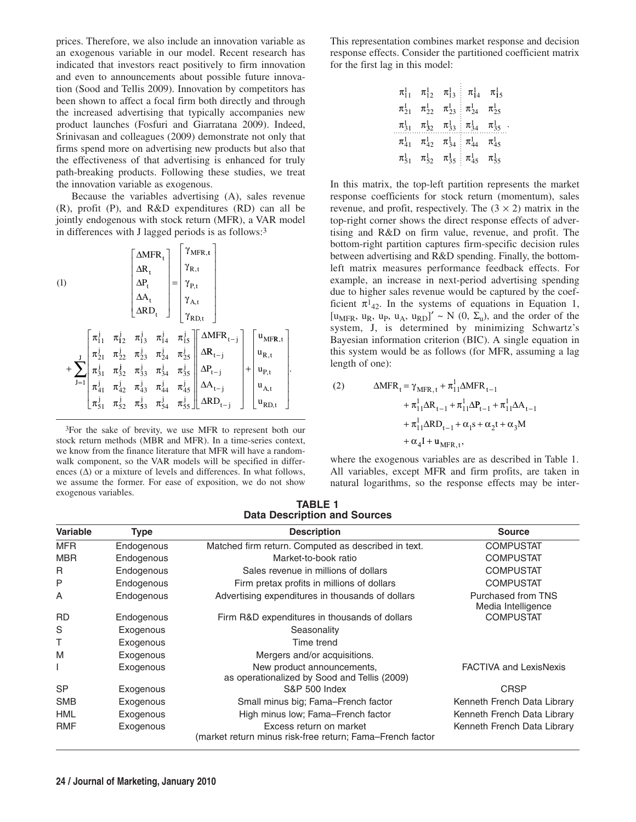prices. Therefore, we also include an innovation variable as an exogenous variable in our model. Recent research has indicated that investors react positively to firm innovation and even to announcements about possible future innovation (Sood and Tellis 2009). Innovation by competitors has been shown to affect a focal firm both directly and through the increased advertising that typically accompanies new product launches (Fosfuri and Giarratana 2009). Indeed, Srinivasan and colleagues (2009) demonstrate not only that firms spend more on advertising new products but also that the effectiveness of that advertising is enhanced for truly path-breaking products. Following these studies, we treat the innovation variable as exogenous.

Because the variables advertising (A), sales revenue (R), profit (P), and R&D expenditures (RD) can all be jointly endogenous with stock return (MFR), a VAR model in differences with J lagged periods is as follows:3

| (1) |  |  | $\begin{bmatrix} \Delta \text{MFR}_{\text{t}} \\ \Delta \text{R}_{\text{t}} \\ \Delta \text{P}_{\text{t}} \\ \Delta \text{A}_{\text{t}} \\ \Delta \text{RD}_{\text{t}} \end{bmatrix} = \begin{bmatrix} \gamma_{\text{MFR},\text{t}} \\ \gamma_{\text{R},\text{t}} \\ \gamma_{\text{P},\text{t}} \\ \gamma_{\text{A},\text{t}} \\ \gamma_{\text{R D},\text{t}} \end{bmatrix}$ |                                                                                                                                                                                                                                                                                                                                             |  |  |
|-----|--|--|------------------------------------------------------------------------------------------------------------------------------------------------------------------------------------------------------------------------------------------------------------------------------------------------------------------------------------------------------------------------------|---------------------------------------------------------------------------------------------------------------------------------------------------------------------------------------------------------------------------------------------------------------------------------------------------------------------------------------------|--|--|
|     |  |  |                                                                                                                                                                                                                                                                                                                                                                              | $+ \sum_{J=1}^J \begin{bmatrix} \pi_{11}^j & \pi_{12}^j & \pi_{13}^j & \pi_{14}^j & \pi_{15}^j \\ \pi_{21}^j & \pi_{22}^j & \pi_{23}^j & \pi_{24}^j & \pi_{25}^j \\ \pi_{31}^j & \pi_{32}^j & \pi_{33}^j & \pi_{34}^j & \pi_{35}^j \\ \pi_{41}^j & \pi_{42}^j & \pi_{43}^j & \pi_{44}^j & \pi_{45}^j \\ \pi_{51}^j & \pi_{52}^j & \pi_{53}$ |  |  |

3For the sake of brevity, we use MFR to represent both our stock return methods (MBR and MFR). In a time-series context, we know from the finance literature that MFR will have a randomwalk component, so the VAR models will be specified in differences  $(\Delta)$  or a mixture of levels and differences. In what follows, we assume the former. For ease of exposition, we do not show exogenous variables.

This representation combines market response and decision response effects. Consider the partitioned coefficient matrix for the first lag in this model:

$$
\begin{array}{ccccccc}\n\pi_{11}^1 & \pi_{12}^1 & \pi_{13}^1 & \pi_{14}^1 & \pi_{15}^1 \\
\pi_{21}^1 & \pi_{22}^1 & \pi_{23}^1 & \pi_{24}^1 & \pi_{25}^1 \\
\pi_{31}^1 & \pi_{32}^1 & \pi_{33}^1 & \pi_{34}^1 & \pi_{35}^1 \\
\pi_{41}^1 & \pi_{42}^1 & \pi_{34}^1 & \pi_{44}^1 & \pi_{45}^1 \\
\pi_{51}^1 & \pi_{52}^1 & \pi_{35}^1 & \pi_{45}^1 & \pi_{55}^1\n\end{array}
$$

In this matrix, the top-left partition represents the market response coefficients for stock return (momentum), sales revenue, and profit, respectively. The  $(3 \times 2)$  matrix in the top-right corner shows the direct response effects of advertising and R&D on firm value, revenue, and profit. The bottom-right partition captures firm-specific decision rules between advertising and R&D spending. Finally, the bottomleft matrix measures performance feedback effects. For example, an increase in next-period advertising spending due to higher sales revenue would be captured by the coefficient  $\pi$ <sup>1</sup><sub>42</sub>. In the systems of equations in Equation 1, [u<sub>MFR</sub>, u<sub>R</sub>, u<sub>P</sub>, u<sub>A</sub>, u<sub>RD</sub>]' ~ N (0,  $\Sigma_u$ ), and the order of the system, J, is determined by minimizing Schwartz's Bayesian information criterion (BIC). A single equation in this system would be as follows (for MFR, assuming a lag length of one):

(2) 
$$
\Delta MFR_{t} = \gamma_{MFR, t} + \pi_{11}^{1} \Delta MFR_{t-1} + \pi_{11}^{1} \Delta R_{t-1} + \pi_{11}^{1} \Delta R_{t-1} + \pi_{11}^{1} \Delta R_{t-1} + \pi_{11}^{1} \Delta R D_{t-1} + \alpha_{1} s + \alpha_{2} t + \alpha_{3} M + \alpha_{4} I + u_{MFR, t},
$$

where the exogenous variables are as described in Table 1. All variables, except MFR and firm profits, are taken in natural logarithms, so the response effects may be inter-

| Variable   | Type       | <b>Description</b>                                                                   | <b>Source</b>                            |
|------------|------------|--------------------------------------------------------------------------------------|------------------------------------------|
| <b>MFR</b> | Endogenous | Matched firm return. Computed as described in text.                                  | <b>COMPUSTAT</b>                         |
| <b>MBR</b> | Endogenous | Market-to-book ratio                                                                 | <b>COMPUSTAT</b>                         |
| R          | Endogenous | Sales revenue in millions of dollars                                                 | <b>COMPUSTAT</b>                         |
| P          | Endogenous | Firm pretax profits in millions of dollars                                           | <b>COMPUSTAT</b>                         |
| A          | Endogenous | Advertising expenditures in thousands of dollars                                     | Purchased from TNS<br>Media Intelligence |
| <b>RD</b>  | Endogenous | Firm R&D expenditures in thousands of dollars                                        | <b>COMPUSTAT</b>                         |
| S          | Exogenous  | Seasonality                                                                          |                                          |
|            | Exogenous  | Time trend                                                                           |                                          |
| M          | Exogenous  | Mergers and/or acquisitions.                                                         |                                          |
|            | Exogenous  | New product announcements,<br>as operationalized by Sood and Tellis (2009)           | <b>FACTIVA and LexisNexis</b>            |
| <b>SP</b>  | Exogenous  | <b>S&amp;P 500 Index</b>                                                             | <b>CRSP</b>                              |
| <b>SMB</b> | Exogenous  | Small minus big; Fama-French factor                                                  | Kenneth French Data Library              |
| <b>HML</b> | Exogenous  | High minus low; Fama-French factor                                                   | Kenneth French Data Library              |
| <b>RMF</b> | Exogenous  | Excess return on market<br>(market return minus risk-free return; Fama-French factor | Kenneth French Data Library              |

**TABLE 1 Data Description and Sources**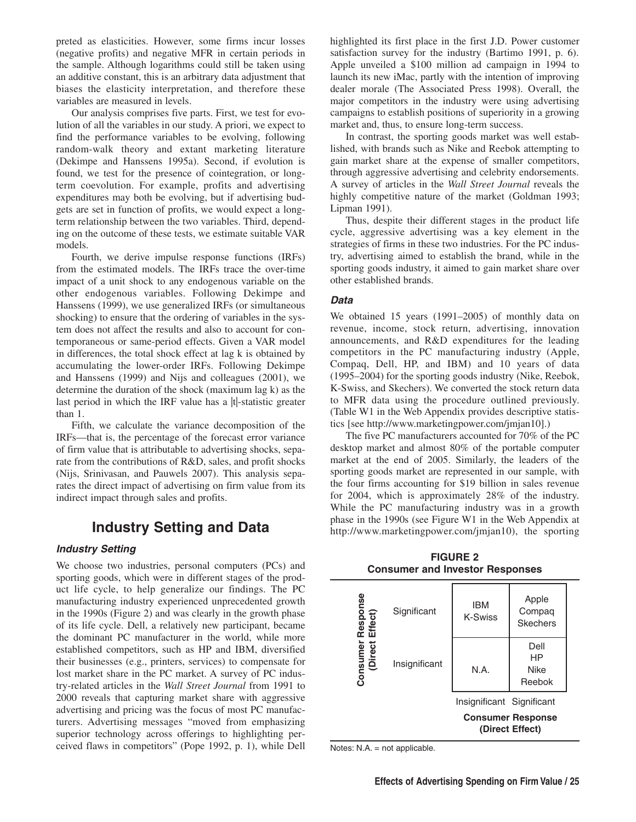preted as elasticities. However, some firms incur losses (negative profits) and negative MFR in certain periods in the sample. Although logarithms could still be taken using an additive constant, this is an arbitrary data adjustment that biases the elasticity interpretation, and therefore these variables are measured in levels.

Our analysis comprises five parts. First, we test for evolution of all the variables in our study. A priori, we expect to find the performance variables to be evolving, following random-walk theory and extant marketing literature (Dekimpe and Hanssens 1995a). Second, if evolution is found, we test for the presence of cointegration, or longterm coevolution. For example, profits and advertising expenditures may both be evolving, but if advertising budgets are set in function of profits, we would expect a longterm relationship between the two variables. Third, depending on the outcome of these tests, we estimate suitable VAR models.

Fourth, we derive impulse response functions (IRFs) from the estimated models. The IRFs trace the over-time impact of a unit shock to any endogenous variable on the other endogenous variables. Following Dekimpe and Hanssens (1999), we use generalized IRFs (or simultaneous shocking) to ensure that the ordering of variables in the system does not affect the results and also to account for contemporaneous or same-period effects. Given a VAR model in differences, the total shock effect at lag k is obtained by accumulating the lower-order IRFs. Following Dekimpe and Hanssens (1999) and Nijs and colleagues (2001), we determine the duration of the shock (maximum lag k) as the last period in which the IRF value has a |t|-statistic greater than 1.

Fifth, we calculate the variance decomposition of the IRFs—that is, the percentage of the forecast error variance of firm value that is attributable to advertising shocks, separate from the contributions of R&D, sales, and profit shocks (Nijs, Srinivasan, and Pauwels 2007). This analysis separates the direct impact of advertising on firm value from its indirect impact through sales and profits.

# **Industry Setting and Data**

#### *Industry Setting*

We choose two industries, personal computers (PCs) and sporting goods, which were in different stages of the product life cycle, to help generalize our findings. The PC manufacturing industry experienced unprecedented growth in the 1990s (Figure 2) and was clearly in the growth phase of its life cycle. Dell, a relatively new participant, became the dominant PC manufacturer in the world, while more established competitors, such as HP and IBM, diversified their businesses (e.g., printers, services) to compensate for lost market share in the PC market. A survey of PC industry-related articles in the *Wall Street Journal* from 1991 to 2000 reveals that capturing market share with aggressive advertising and pricing was the focus of most PC manufacturers. Advertising messages "moved from emphasizing superior technology across offerings to highlighting perceived flaws in competitors" (Pope 1992, p. 1), while Dell

highlighted its first place in the first J.D. Power customer satisfaction survey for the industry (Bartimo 1991, p. 6). Apple unveiled a \$100 million ad campaign in 1994 to launch its new iMac, partly with the intention of improving dealer morale (The Associated Press 1998). Overall, the major competitors in the industry were using advertising campaigns to establish positions of superiority in a growing market and, thus, to ensure long-term success.

In contrast, the sporting goods market was well established, with brands such as Nike and Reebok attempting to gain market share at the expense of smaller competitors, through aggressive advertising and celebrity endorsements. A survey of articles in the *Wall Street Journal* reveals the highly competitive nature of the market (Goldman 1993; Lipman 1991).

Thus, despite their different stages in the product life cycle, aggressive advertising was a key element in the strategies of firms in these two industries. For the PC industry, advertising aimed to establish the brand, while in the sporting goods industry, it aimed to gain market share over other established brands.

#### *Data*

We obtained 15 years (1991–2005) of monthly data on revenue, income, stock return, advertising, innovation announcements, and R&D expenditures for the leading competitors in the PC manufacturing industry (Apple, Compaq, Dell, HP, and IBM) and 10 years of data (1995–2004) for the sporting goods industry (Nike, Reebok, K-Swiss, and Skechers). We converted the stock return data to MFR data using the procedure outlined previously. (Table W1 in the Web Appendix provides descriptive statistics [see [http://www.marketingpower.com/jmjan10\].](http://www.marketingpower.com/jmjan10))

The five PC manufacturers accounted for 70% of the PC desktop market and almost 80% of the portable computer market at the end of 2005. Similarly, the leaders of the sporting goods market are represented in our sample, with the four firms accounting for \$19 billion in sales revenue for 2004, which is approximately 28% of the industry. While the PC manufacturing industry was in a growth phase in the 1990s (see Figure W1 in the Web Appendix at [http://www.marketingpower.com/jmjan10\)](http://www.marketingpower.com/jmjan10), the sporting



Notes: N.A. = not applicable.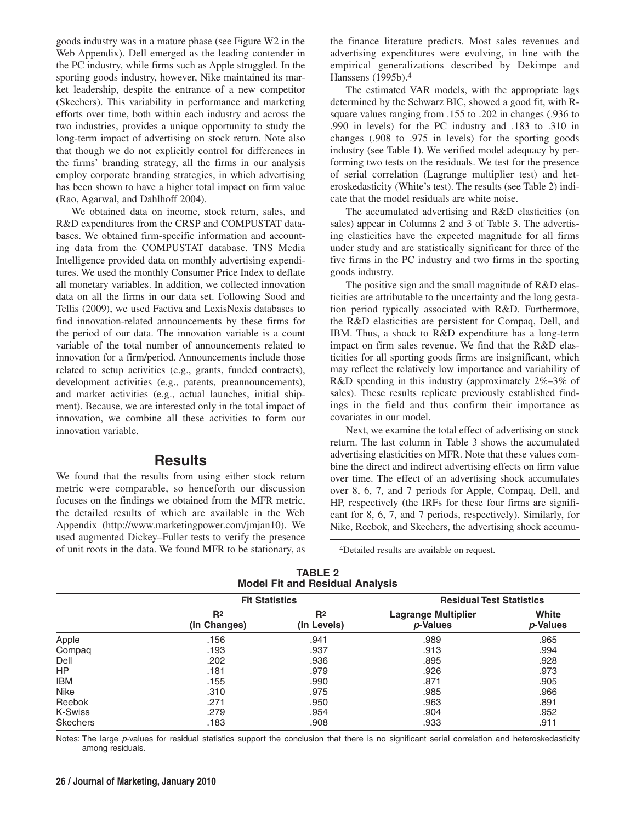goods industry was in a mature phase (see Figure W2 in the Web Appendix). Dell emerged as the leading contender in the PC industry, while firms such as Apple struggled. In the sporting goods industry, however, Nike maintained its market leadership, despite the entrance of a new competitor (Skechers). This variability in performance and marketing efforts over time, both within each industry and across the two industries, provides a unique opportunity to study the long-term impact of advertising on stock return. Note also that though we do not explicitly control for differences in the firms' branding strategy, all the firms in our analysis employ corporate branding strategies, in which advertising has been shown to have a higher total impact on firm value (Rao, Agarwal, and Dahlhoff 2004).

We obtained data on income, stock return, sales, and R&D expenditures from the CRSP and COMPUSTAT databases. We obtained firm-specific information and accounting data from the COMPUSTAT database. TNS Media Intelligence provided data on monthly advertising expenditures. We used the monthly Consumer Price Index to deflate all monetary variables. In addition, we collected innovation data on all the firms in our data set. Following Sood and Tellis (2009), we used Factiva and LexisNexis databases to find innovation-related announcements by these firms for the period of our data. The innovation variable is a count variable of the total number of announcements related to innovation for a firm/period. Announcements include those related to setup activities (e.g., grants, funded contracts), development activities (e.g., patents, preannouncements), and market activities (e.g., actual launches, initial shipment). Because, we are interested only in the total impact of innovation, we combine all these activities to form our innovation variable.

#### **Results**

We found that the results from using either stock return metric were comparable, so henceforth our discussion focuses on the findings we obtained from the MFR metric, the detailed results of which are available in the Web Appendix ([http://www.marketingpower.com/jmjan10\)](http://www.marketingpower.com/jmjan10). We used augmented Dickey–Fuller tests to verify the presence of unit roots in the data. We found MFR to be stationary, as the finance literature predicts. Most sales revenues and advertising expenditures were evolving, in line with the empirical generalizations described by Dekimpe and Hanssens (1995b).4

The estimated VAR models, with the appropriate lags determined by the Schwarz BIC, showed a good fit, with Rsquare values ranging from .155 to .202 in changes (.936 to .990 in levels) for the PC industry and .183 to .310 in changes (.908 to .975 in levels) for the sporting goods industry (see Table 1). We verified model adequacy by performing two tests on the residuals. We test for the presence of serial correlation (Lagrange multiplier test) and heteroskedasticity (White's test). The results (see Table 2) indicate that the model residuals are white noise.

The accumulated advertising and R&D elasticities (on sales) appear in Columns 2 and 3 of Table 3. The advertising elasticities have the expected magnitude for all firms under study and are statistically significant for three of the five firms in the PC industry and two firms in the sporting goods industry.

The positive sign and the small magnitude of R&D elasticities are attributable to the uncertainty and the long gestation period typically associated with R&D. Furthermore, the R&D elasticities are persistent for Compaq, Dell, and IBM. Thus, a shock to R&D expenditure has a long-term impact on firm sales revenue. We find that the R&D elasticities for all sporting goods firms are insignificant, which may reflect the relatively low importance and variability of R&D spending in this industry (approximately 2%–3% of sales). These results replicate previously established findings in the field and thus confirm their importance as covariates in our model.

Next, we examine the total effect of advertising on stock return. The last column in Table 3 shows the accumulated advertising elasticities on MFR. Note that these values combine the direct and indirect advertising effects on firm value over time. The effect of an advertising shock accumulates over 8, 6, 7, and 7 periods for Apple, Compaq, Dell, and HP, respectively (the IRFs for these four firms are significant for 8, 6, 7, and 7 periods, respectively). Similarly, for Nike, Reebok, and Skechers, the advertising shock accumu-

4Detailed results are available on request.

**TABLE 2 Model Fit and Residual Analysis**

|                 | <b>Fit Statistics</b>          |                               | <b>Residual Test Statistics</b>        |                   |  |
|-----------------|--------------------------------|-------------------------------|----------------------------------------|-------------------|--|
|                 | R <sup>2</sup><br>(in Changes) | R <sup>2</sup><br>(in Levels) | <b>Lagrange Multiplier</b><br>p-Values | White<br>p-Values |  |
| Apple           | .156                           | .941                          | .989                                   | .965              |  |
| Compaq          | .193                           | .937                          | .913                                   | .994              |  |
| Dell            | .202                           | .936                          | .895                                   | .928              |  |
| HP              | .181                           | .979                          | .926                                   | .973              |  |
| <b>IBM</b>      | .155                           | .990                          | .871                                   | .905              |  |
| <b>Nike</b>     | .310                           | .975                          | .985                                   | .966              |  |
| Reebok          | .271                           | .950                          | .963                                   | .891              |  |
| K-Swiss         | .279                           | .954                          | .904                                   | .952              |  |
| <b>Skechers</b> | .183                           | .908                          | .933                                   | .911              |  |

Notes: The large *p*-values for residual statistics support the conclusion that there is no significant serial correlation and heteroskedasticity among residuals.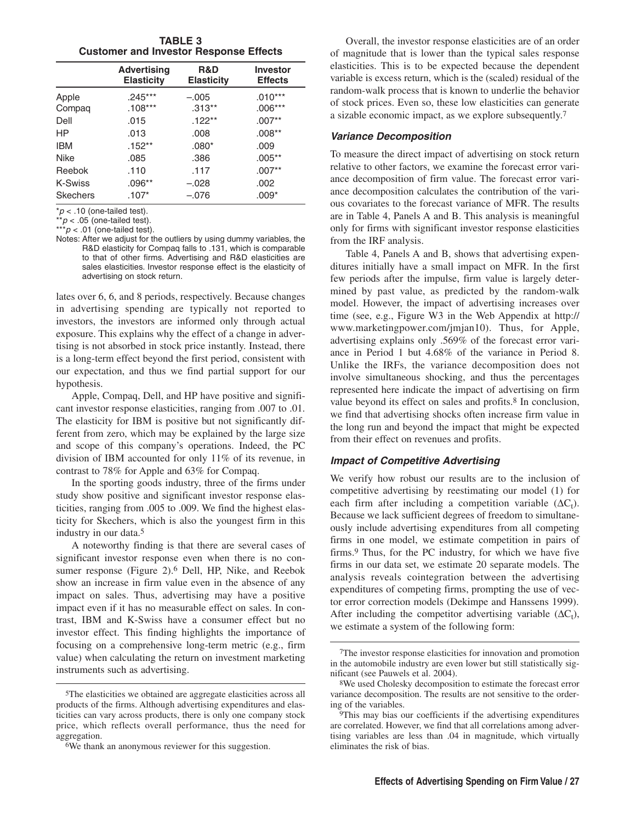|                                               | <b>TABLE 3</b> |  |  |
|-----------------------------------------------|----------------|--|--|
| <b>Customer and Investor Response Effects</b> |                |  |  |

|                 | <b>Advertising</b><br><b>Elasticity</b> | R&D<br><b>Elasticity</b> | <b>Investor</b><br><b>Effects</b> |
|-----------------|-----------------------------------------|--------------------------|-----------------------------------|
| Apple           | $.245***$                               | $-.005$                  | $.010***$                         |
| Compaq          | $.108***$                               | $.313**$                 | $.006***$                         |
| Dell            | .015                                    | $.122***$                | $.007**$                          |
| HP              | .013                                    | .008                     | $.008**$                          |
| <b>IBM</b>      | $.152***$                               | $.080*$                  | .009                              |
| <b>Nike</b>     | .085                                    | .386                     | $.005**$                          |
| Reebok          | .110                                    | .117                     | $.007**$                          |
| <b>K-Swiss</b>  | $.096**$                                | $-.028$                  | .002                              |
| <b>Skechers</b> | $.107*$                                 | $-.076$                  | .009*                             |

 $*p$  < .10 (one-tailed test).

\*\**p* < .05 (one-tailed test).

\*\*\**p* < .01 (one-tailed test).

Notes: After we adjust for the outliers by using dummy variables, the R&D elasticity for Compaq falls to .131, which is comparable to that of other firms. Advertising and R&D elasticities are sales elasticities. Investor response effect is the elasticity of advertising on stock return.

lates over 6, 6, and 8 periods, respectively. Because changes in advertising spending are typically not reported to investors, the investors are informed only through actual exposure. This explains why the effect of a change in advertising is not absorbed in stock price instantly. Instead, there is a long-term effect beyond the first period, consistent with our expectation, and thus we find partial support for our hypothesis.

Apple, Compaq, Dell, and HP have positive and significant investor response elasticities, ranging from .007 to .01. The elasticity for IBM is positive but not significantly different from zero, which may be explained by the large size and scope of this company's operations. Indeed, the PC division of IBM accounted for only 11% of its revenue, in contrast to 78% for Apple and 63% for Compaq.

In the sporting goods industry, three of the firms under study show positive and significant investor response elasticities, ranging from .005 to .009. We find the highest elasticity for Skechers, which is also the youngest firm in this industry in our data.5

A noteworthy finding is that there are several cases of significant investor response even when there is no consumer response (Figure 2).6 Dell, HP, Nike, and Reebok show an increase in firm value even in the absence of any impact on sales. Thus, advertising may have a positive impact even if it has no measurable effect on sales. In contrast, IBM and K-Swiss have a consumer effect but no investor effect. This finding highlights the importance of focusing on a comprehensive long-term metric (e.g., firm value) when calculating the return on investment marketing instruments such as advertising.

Overall, the investor response elasticities are of an order of magnitude that is lower than the typical sales response elasticities. This is to be expected because the dependent variable is excess return, which is the (scaled) residual of the random-walk process that is known to underlie the behavior of stock prices. Even so, these low elasticities can generate a sizable economic impact, as we explore subsequently.7

#### *Variance Decomposition*

To measure the direct impact of advertising on stock return relative to other factors, we examine the forecast error variance decomposition of firm value. The forecast error variance decomposition calculates the contribution of the various covariates to the forecast variance of MFR. The results are in Table 4, Panels A and B. This analysis is meaningful only for firms with significant investor response elasticities from the IRF analysis.

Table 4, Panels A and B, shows that advertising expenditures initially have a small impact on MFR. In the first few periods after the impulse, firm value is largely determined by past value, as predicted by the random-walk model. However, the impact of advertising increases over time (see, e.g., Figure W3 in the Web Appendix at [http://](http://www.marketingpower.com/jmjan10) [www.marketingpower.com/jmjan10\)](http://www.marketingpower.com/jmjan10). Thus, for Apple, advertising explains only .569% of the forecast error variance in Period 1 but 4.68% of the variance in Period 8. Unlike the IRFs, the variance decomposition does not involve simultaneous shocking, and thus the percentages represented here indicate the impact of advertising on firm value beyond its effect on sales and profits.<sup>8</sup> In conclusion, we find that advertising shocks often increase firm value in the long run and beyond the impact that might be expected from their effect on revenues and profits.

#### *Impact of Competitive Advertising*

We verify how robust our results are to the inclusion of competitive advertising by reestimating our model (1) for each firm after including a competition variable  $(\Delta C_t)$ . Because we lack sufficient degrees of freedom to simultaneously include advertising expenditures from all competing firms in one model, we estimate competition in pairs of firms.9 Thus, for the PC industry, for which we have five firms in our data set, we estimate 20 separate models. The analysis reveals cointegration between the advertising expenditures of competing firms, prompting the use of vector error correction models (Dekimpe and Hanssens 1999). After including the competitor advertising variable  $(\Delta C_t)$ , we estimate a system of the following form:

<sup>5</sup>The elasticities we obtained are aggregate elasticities across all products of the firms. Although advertising expenditures and elasticities can vary across products, there is only one company stock price, which reflects overall performance, thus the need for aggregation.

<sup>6</sup>We thank an anonymous reviewer for this suggestion.

<sup>7</sup>The investor response elasticities for innovation and promotion in the automobile industry are even lower but still statistically significant (see Pauwels et al. 2004).

<sup>8</sup>We used Cholesky decomposition to estimate the forecast error variance decomposition. The results are not sensitive to the ordering of the variables.

<sup>9</sup>This may bias our coefficients if the advertising expenditures are correlated. However, we find that all correlations among advertising variables are less than .04 in magnitude, which virtually eliminates the risk of bias.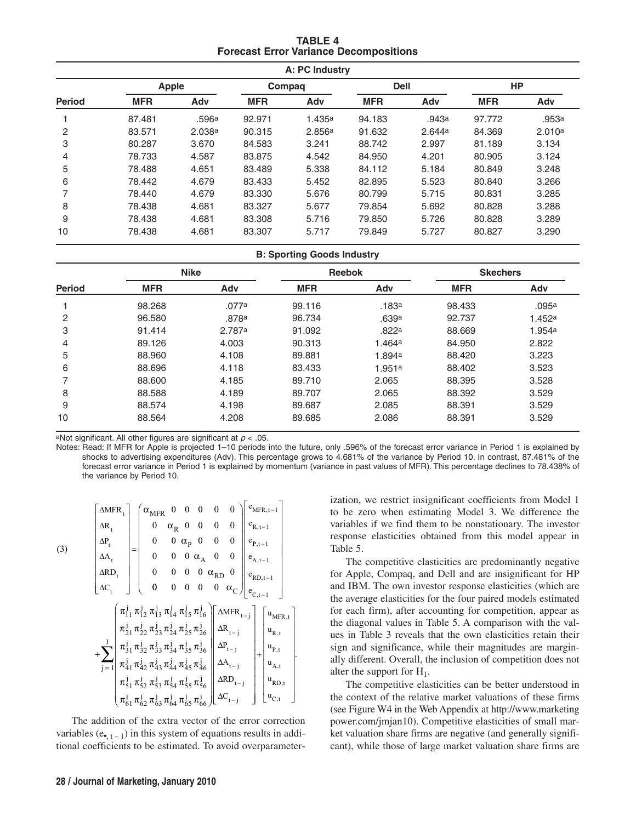**TABLE 4 Forecast Error Variance Decompositions**

|               | A: PC Industry |        |            |        |             |        |            |        |  |
|---------------|----------------|--------|------------|--------|-------------|--------|------------|--------|--|
|               | Apple          |        | Compaq     |        | <b>Dell</b> |        | HР         |        |  |
| <b>Period</b> | <b>MFR</b>     | Adv    | <b>MFR</b> | Adv    | <b>MFR</b>  | Adv    | <b>MFR</b> | Adv    |  |
|               | 87.481         | .596a  | 92.971     | 1.435a | 94.183      | .943a  | 97.772     | .953a  |  |
| 2             | 83.571         | 2.038a | 90.315     | 2.856a | 91.632      | 2.644a | 84.369     | 2.010a |  |
| 3             | 80.287         | 3.670  | 84.583     | 3.241  | 88.742      | 2.997  | 81.189     | 3.134  |  |
| 4             | 78.733         | 4.587  | 83.875     | 4.542  | 84.950      | 4.201  | 80.905     | 3.124  |  |
| 5             | 78.488         | 4.651  | 83.489     | 5.338  | 84.112      | 5.184  | 80.849     | 3.248  |  |
| 6             | 78.442         | 4.679  | 83.433     | 5.452  | 82.895      | 5.523  | 80.840     | 3.266  |  |
|               | 78.440         | 4.679  | 83.330     | 5.676  | 80.799      | 5.715  | 80.831     | 3.285  |  |
| 8             | 78.438         | 4.681  | 83.327     | 5.677  | 79.854      | 5.692  | 80.828     | 3.288  |  |
| 9             | 78.438         | 4.681  | 83.308     | 5.716  | 79.850      | 5.726  | 80.828     | 3.289  |  |
| 10            | 78.438         | 4.681  | 83.307     | 5.717  | 79.849      | 5.727  | 80.827     | 3.290  |  |

#### **B: Sporting Goods Industry**

|               | <b>Nike</b> |                    | <b>Reebok</b> |        | <b>Skechers</b> |        |
|---------------|-------------|--------------------|---------------|--------|-----------------|--------|
| <b>Period</b> | <b>MFR</b>  | Adv                | <b>MFR</b>    | Adv    | <b>MFR</b>      | Adv    |
|               | 98.268      | .077a              | 99.116        | .183a  | 98.433          | .095a  |
| 2             | 96.580      | .878a              | 96.734        | .639a  | 92.737          | 1.452a |
| 3             | 91.414      | 2.787 <sup>a</sup> | 91.092        | .822a  | 88,669          | 1.954a |
| 4             | 89.126      | 4.003              | 90.313        | 1.464a | 84.950          | 2.822  |
| 5             | 88.960      | 4.108              | 89.881        | 1.894a | 88,420          | 3.223  |
| 6             | 88.696      | 4.118              | 83.433        | 1.951a | 88.402          | 3.523  |
|               | 88.600      | 4.185              | 89.710        | 2.065  | 88,395          | 3.528  |
| 8             | 88.588      | 4.189              | 89.707        | 2.065  | 88,392          | 3.529  |
| 9             | 88.574      | 4.198              | 89.687        | 2.085  | 88.391          | 3.529  |
| 10            | 88.564      | 4.208              | 89.685        | 2.086  | 88.391          | 3.529  |

aNot significant. All other figures are significant at *p* < .05.

Notes: Read: If MFR for Apple is projected 1–10 periods into the future, only .596% of the forecast error variance in Period 1 is explained by shocks to advertising expenditures (Adv). This percentage grows to 4.681% of the variance by Period 10. In contrast, 87.481% of the forecast error variance in Period 1 is explained by momentum (variance in past values of MFR). This percentage declines to 78.438% of the variance by Period 10.

.

$$
\begin{bmatrix}\n\Delta MFR_{t} \\
\Delta R_{t} \\
\Delta P_{t} \\
\Delta A_{t} \\
\Delta C_{t}\n\end{bmatrix} = \begin{bmatrix}\n\alpha_{MFR} & 0 & 0 & 0 & 0 & 0 \\
0 & \alpha_{R} & 0 & 0 & 0 & 0 \\
0 & 0 & \alpha_{P} & 0 & 0 & 0 \\
0 & 0 & 0 & \alpha_{A} & 0 & 0 \\
0 & 0 & 0 & \alpha_{RD} & 0 & 0 \\
0 & 0 & 0 & 0 & \alpha_{RD} & 0 \\
0 & 0 & 0 & 0 & 0 & \alpha_{C}\n\end{bmatrix} \begin{bmatrix}\ne_{MFR, t-1} \\
e_{R,t-1} \\
e_{R,t-1} \\
e_{R,t-1} \\
e_{R,t-1} \\
e_{R,t-1}\n\end{bmatrix}
$$
\n
$$
+ \sum_{j=1}^{J} \begin{bmatrix}\n\pi_{j1}^{j} & \pi_{j2}^{j} & \pi_{j3}^{j} & \pi_{j4}^{j} & \pi_{j5}^{j} & \pi_{j6}^{j} \\
\pi_{j1}^{j} & \pi_{j2}^{j} & \pi_{j3}^{j} & \pi_{j4}^{j} & \pi_{j5}^{j} & \pi_{j6}^{j} \\
\pi_{j1}^{j} & \pi_{j2}^{j} & \pi_{j3}^{j} & \pi_{j4}^{j} & \pi_{j5}^{j} & \pi_{j6}^{j} \\
\pi_{j1}^{j} & \pi_{j2}^{j} & \pi_{j3}^{j} & \pi_{j4}^{j} & \pi_{j5}^{j} & \pi_{j6}^{j} \\
\pi_{j1}^{j} & \pi_{j2}^{j} & \pi_{j3}^{j} & \pi_{j4}^{j} & \pi_{j5}^{j} & \pi_{j6}^{j} \\
\pi_{j1}^{j} & \pi_{j2}^{j} & \pi_{j3}^{j} & \pi_{j4}^{j} & \pi_{j5}^{j} & \pi_{j6}^{j} \\
\pi_{j1}^{j} & \pi_{j2}^{j} & \pi_{j3}^{j} & \pi_{j4}^{j} & \pi_{j5}^{j} & \pi_{j6}^{j} \\
\pi_{j1}^{j} & \pi_{j2}^{j} & \pi_{j3}^{j} & \pi_{j4}^{j} & \pi_{j
$$

The addition of the extra vector of the error correction variables (e $_{t-1}$ ) in this system of equations results in additional coefficients to be estimated. To avoid overparameterization, we restrict insignificant coefficients from Model 1 to be zero when estimating Model 3. We difference the variables if we find them to be nonstationary. The investor response elasticities obtained from this model appear in Table 5.

The competitive elasticities are predominantly negative for Apple, Compaq, and Dell and are insignificant for HP and IBM. The own investor response elasticities (which are the average elasticities for the four paired models estimated for each firm), after accounting for competition, appear as the diagonal values in Table 5. A comparison with the values in Table 3 reveals that the own elasticities retain their sign and significance, while their magnitudes are marginally different. Overall, the inclusion of competition does not alter the support for  $H_1$ .

The competitive elasticities can be better understood in the context of the relative market valuations of these firms (see Figure W4 in the Web Appendix at [http://www.marketing](http://www.marketingpower.com/jmjan10) [power.com/jmjan10](http://www.marketingpower.com/jmjan10)). Competitive elasticities of small market valuation share firms are negative (and generally significant), while those of large market valuation share firms are

 $(3)$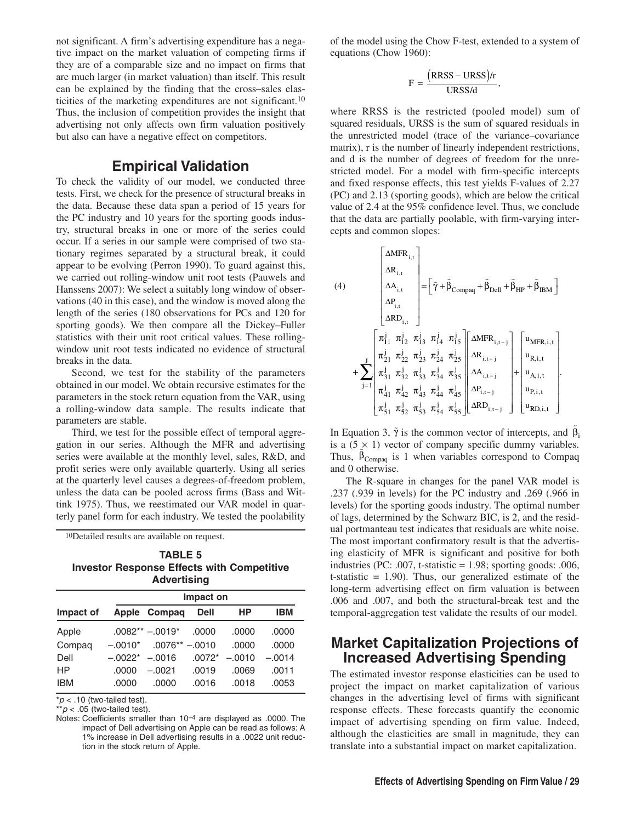not significant. A firm's advertising expenditure has a negative impact on the market valuation of competing firms if they are of a comparable size and no impact on firms that are much larger (in market valuation) than itself. This result can be explained by the finding that the cross–sales elasticities of the marketing expenditures are not significant.10 Thus, the inclusion of competition provides the insight that advertising not only affects own firm valuation positively but also can have a negative effect on competitors.

### **Empirical Validation**

To check the validity of our model, we conducted three tests. First, we check for the presence of structural breaks in the data. Because these data span a period of 15 years for the PC industry and 10 years for the sporting goods industry, structural breaks in one or more of the series could occur. If a series in our sample were comprised of two stationary regimes separated by a structural break, it could appear to be evolving (Perron 1990). To guard against this, we carried out rolling-window unit root tests (Pauwels and Hanssens 2007): We select a suitably long window of observations (40 in this case), and the window is moved along the length of the series (180 observations for PCs and 120 for sporting goods). We then compare all the Dickey–Fuller statistics with their unit root critical values. These rollingwindow unit root tests indicated no evidence of structural breaks in the data.

Second, we test for the stability of the parameters obtained in our model. We obtain recursive estimates for the parameters in the stock return equation from the VAR, using a rolling-window data sample. The results indicate that parameters are stable.

Third, we test for the possible effect of temporal aggregation in our series. Although the MFR and advertising series were available at the monthly level, sales, R&D, and profit series were only available quarterly. Using all series at the quarterly level causes a degrees-of-freedom problem, unless the data can be pooled across firms (Bass and Wittink 1975). Thus, we reestimated our VAR model in quarterly panel form for each industry. We tested the poolability

10Detailed results are available on request.

**TABLE 5 Investor Response Effects with Competitive Advertising**

|            | Impact on           |                    |             |          |            |  |  |
|------------|---------------------|--------------------|-------------|----------|------------|--|--|
| Impact of  |                     | Apple Compag       | <b>Dell</b> | НP       | <b>IBM</b> |  |  |
| Apple      |                     | $.0082** - .0019*$ | .0000       | .0000    | .0000      |  |  |
| Compag     | $-.0010*$           | $.0076** - .0010$  |             | .0000    | .0000      |  |  |
| Dell       | $-.0022$ * $-.0016$ |                    | $.0072*$    | $-.0010$ | $-.0014$   |  |  |
| HP         | .0000               | $-.0021$           | .0019       | .0069    | .0011      |  |  |
| <b>IBM</b> | .0000               | .0000              | .0016       | .0018    | .0053      |  |  |

 $p$  < .10 (two-tailed test).

 $*p$  < .05 (two-tailed test).

Notes: Coefficients smaller than 10–4 are displayed as .0000. The impact of Dell advertising on Apple can be read as follows: A 1% increase in Dell advertising results in a .0022 unit reduction in the stock return of Apple.

of the model using the Chow F-test, extended to a system of equations (Chow 1960):

$$
F = \frac{(RRSS - URSS)/r}{URSS/d},
$$

where RRSS is the restricted (pooled model) sum of squared residuals, URSS is the sum of squared residuals in the unrestricted model (trace of the variance–covariance matrix), r is the number of linearly independent restrictions, and d is the number of degrees of freedom for the unrestricted model. For a model with firm-specific intercepts and fixed response effects, this test yields F-values of 2.27 (PC) and 2.13 (sporting goods), which are below the critical value of 2.4 at the 95% confidence level. Thus, we conclude that the data are partially poolable, with firm-varying intercepts and common slopes:

(4)  
\n
$$
\begin{bmatrix}\n\Delta M_{i,t} \\
\Delta R_{i,t} \\
\Delta P_{i,t} \\
\Delta R D_{i,t}\n\end{bmatrix} = \begin{bmatrix}\n\tilde{\gamma} + \tilde{\beta}_{\text{Compaq}} + \tilde{\beta}_{\text{Dell}} + \tilde{\beta}_{\text{HP}} + \tilde{\beta}_{\text{IBM}}\n\end{bmatrix}
$$
\n
$$
+ \sum_{j=1}^{J} \begin{bmatrix}\n\pi_{11}^{j} & \pi_{12}^{j} & \pi_{13}^{j} & \pi_{14}^{j} & \pi_{15}^{j} \\
\pi_{21}^{j} & \pi_{22}^{j} & \pi_{23}^{j} & \pi_{24}^{j} & \pi_{25}^{j} \\
\pi_{31}^{j} & \pi_{32}^{j} & \pi_{33}^{j} & \pi_{34}^{j} & \pi_{35}^{j} \\
\pi_{41}^{j} & \pi_{42}^{j} & \pi_{43}^{j} & \pi_{44}^{j} & \pi_{45}^{j} \\
\pi_{51}^{j} & \pi_{52}^{j} & \pi_{53}^{j} & \pi_{54}^{j} & \pi_{55}^{j}\n\end{bmatrix} \begin{bmatrix}\n\Delta MFR_{i,t-j} \\
\Delta R_{i,t-j} \\
\Delta R_{i,t-j} \\
\Delta R_{i,t-j} \\
\Delta R_{i,t-j} \\
\Delta R_{i,t-j}\n\end{bmatrix} + \begin{bmatrix}\nu_{\text{MFR},i,t} \\
u_{\text{R},i,t} \\
u_{\text{R},i,t} \\
u_{\text{R},i,t} \\
u_{\text{RD},i,t}\n\end{bmatrix}.
$$

In Equation 3,  $\tilde{\gamma}$  is the common vector of intercepts, and  $\tilde{\beta}_i$ is a  $(5 \times 1)$  vector of company specific dummy variables. Thus,  $\hat{\beta}_{\text{Compaq}}$  is 1 when variables correspond to Compaq and 0 otherwise.

The R-square in changes for the panel VAR model is .237 (.939 in levels) for the PC industry and .269 (.966 in levels) for the sporting goods industry. The optimal number of lags, determined by the Schwarz BIC, is 2, and the residual portmanteau test indicates that residuals are white noise. The most important confirmatory result is that the advertising elasticity of MFR is significant and positive for both industries (PC: .007, t-statistic  $= 1.98$ ; sporting goods: .006, t-statistic = 1.90). Thus, our generalized estimate of the long-term advertising effect on firm valuation is between .006 and .007, and both the structural-break test and the temporal-aggregation test validate the results of our model.

# **Market Capitalization Projections of Increased Advertising Spending**

The estimated investor response elasticities can be used to project the impact on market capitalization of various changes in the advertising level of firms with significant response effects. These forecasts quantify the economic impact of advertising spending on firm value. Indeed, although the elasticities are small in magnitude, they can translate into a substantial impact on market capitalization.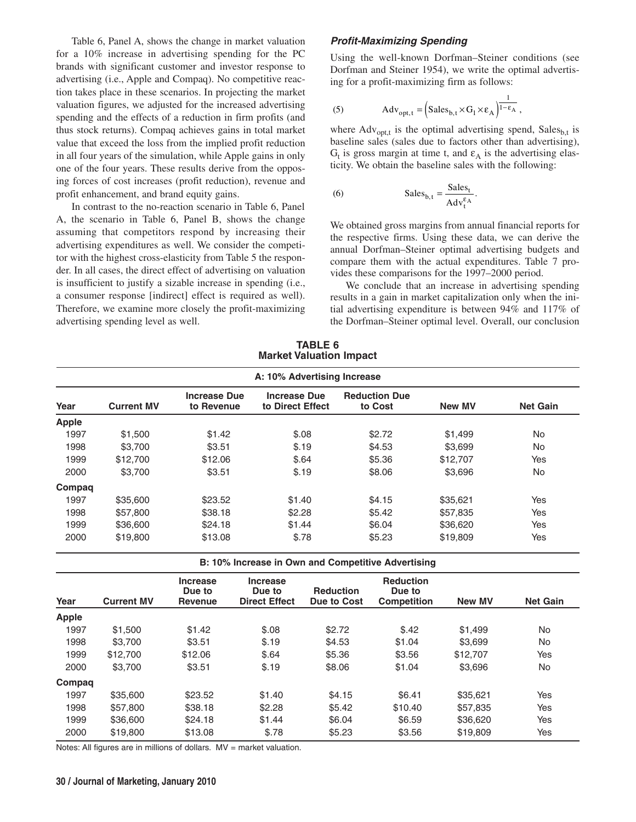Table 6, Panel A, shows the change in market valuation for a 10% increase in advertising spending for the PC brands with significant customer and investor response to advertising (i.e., Apple and Compaq). No competitive reaction takes place in these scenarios. In projecting the market valuation figures, we adjusted for the increased advertising spending and the effects of a reduction in firm profits (and thus stock returns). Compaq achieves gains in total market value that exceed the loss from the implied profit reduction in all four years of the simulation, while Apple gains in only one of the four years. These results derive from the opposing forces of cost increases (profit reduction), revenue and profit enhancement, and brand equity gains.

In contrast to the no-reaction scenario in Table 6, Panel A, the scenario in Table 6, Panel B, shows the change assuming that competitors respond by increasing their advertising expenditures as well. We consider the competitor with the highest cross-elasticity from Table 5 the responder. In all cases, the direct effect of advertising on valuation is insufficient to justify a sizable increase in spending (i.e., a consumer response [indirect] effect is required as well). Therefore, we examine more closely the profit-maximizing advertising spending level as well.

#### *Profit-Maximizing Spending*

Using the well-known Dorfman–Steiner conditions (see Dorfman and Steiner 1954), we write the optimal advertising for a profit-maximizing firm as follows:

(5) 
$$
Adv_{\text{opt,t}} = (Sales_{b,t} \times G_1 \times \varepsilon_A)^{\frac{1}{1-\varepsilon_A}},
$$

where  $Adv_{opt,t}$  is the optimal advertising spend, Sales<sub>b,t</sub> is baseline sales (sales due to factors other than advertising),  $G_t$  is gross margin at time t, and  $\varepsilon_A$  is the advertising elasticity. We obtain the baseline sales with the following:

(6) 
$$
\text{Sales}_{b,t} = \frac{\text{Sales}_{t}}{\text{Adv}_{t}^{\epsilon_{A}}}
$$

We obtained gross margins from annual financial reports for the respective firms. Using these data, we can derive the annual Dorfman–Steiner optimal advertising budgets and compare them with the actual expenditures. Table 7 provides these comparisons for the 1997–2000 period.

We conclude that an increase in advertising spending results in a gain in market capitalization only when the initial advertising expenditure is between 94% and 117% of the Dorfman–Steiner optimal level. Overall, our conclusion

**TABLE 6 Market Valuation Impact**

| A: 10% Advertising Increase                                                                                                                                   |          |         |        |        |          |           |  |  |
|---------------------------------------------------------------------------------------------------------------------------------------------------------------|----------|---------|--------|--------|----------|-----------|--|--|
| <b>Reduction Due</b><br><b>Increase Due</b><br><b>Increase Due</b><br>Year<br>to Direct Effect<br><b>Current MV</b><br>to Cost<br>to Revenue<br><b>New MV</b> |          |         |        |        |          |           |  |  |
| <b>Apple</b>                                                                                                                                                  |          |         |        |        |          |           |  |  |
| 1997                                                                                                                                                          | \$1,500  | \$1.42  | \$.08  | \$2.72 | \$1,499  | <b>No</b> |  |  |
| 1998                                                                                                                                                          | \$3,700  | \$3.51  | \$.19  | \$4.53 | \$3,699  | <b>No</b> |  |  |
| 1999                                                                                                                                                          | \$12,700 | \$12.06 | \$.64  | \$5.36 | \$12,707 | Yes       |  |  |
| 2000                                                                                                                                                          | \$3,700  | \$3.51  | \$.19  | \$8.06 | \$3,696  | <b>No</b> |  |  |
| Compaq                                                                                                                                                        |          |         |        |        |          |           |  |  |
| 1997                                                                                                                                                          | \$35,600 | \$23.52 | \$1.40 | \$4.15 | \$35,621 | Yes       |  |  |
| 1998                                                                                                                                                          | \$57,800 | \$38.18 | \$2.28 | \$5.42 | \$57,835 | Yes       |  |  |
| 1999                                                                                                                                                          | \$36,600 | \$24.18 | \$1.44 | \$6.04 | \$36,620 | Yes       |  |  |
| 2000                                                                                                                                                          | \$19,800 | \$13.08 | \$.78  | \$5.23 | \$19,809 | Yes       |  |  |

**B: 10% Increase in Own and Competitive Advertising**

|              |                   | <b>Increase</b><br>Due to | <b>Increase</b><br>Due to | <b>Reduction</b> | <b>Reduction</b><br>Due to |               |                 |
|--------------|-------------------|---------------------------|---------------------------|------------------|----------------------------|---------------|-----------------|
| Year         | <b>Current MV</b> | Revenue                   | <b>Direct Effect</b>      | Due to Cost      | <b>Competition</b>         | <b>New MV</b> | <b>Net Gain</b> |
| <b>Apple</b> |                   |                           |                           |                  |                            |               |                 |
| 1997         | \$1,500           | \$1.42                    | \$.08                     | \$2.72           | \$.42                      | \$1,499       | <b>No</b>       |
| 1998         | \$3,700           | \$3.51                    | \$.19                     | \$4.53           | \$1.04                     | \$3,699       | <b>No</b>       |
| 1999         | \$12,700          | \$12.06                   | \$.64                     | \$5.36           | \$3.56                     | \$12.707      | Yes             |
| 2000         | \$3,700           | \$3.51                    | \$.19                     | \$8.06           | \$1.04                     | \$3,696       | No              |
| Compaq       |                   |                           |                           |                  |                            |               |                 |
| 1997         | \$35,600          | \$23.52                   | \$1.40                    | \$4.15           | \$6.41                     | \$35,621      | Yes             |
| 1998         | \$57,800          | \$38.18                   | \$2.28                    | \$5.42           | \$10.40                    | \$57,835      | Yes             |
| 1999         | \$36,600          | \$24.18                   | \$1.44                    | \$6.04           | \$6.59                     | \$36,620      | Yes             |
| 2000         | \$19,800          | \$13.08                   | \$.78                     | \$5.23           | \$3.56                     | \$19,809      | Yes             |

Notes: All figures are in millions of dollars. MV = market valuation.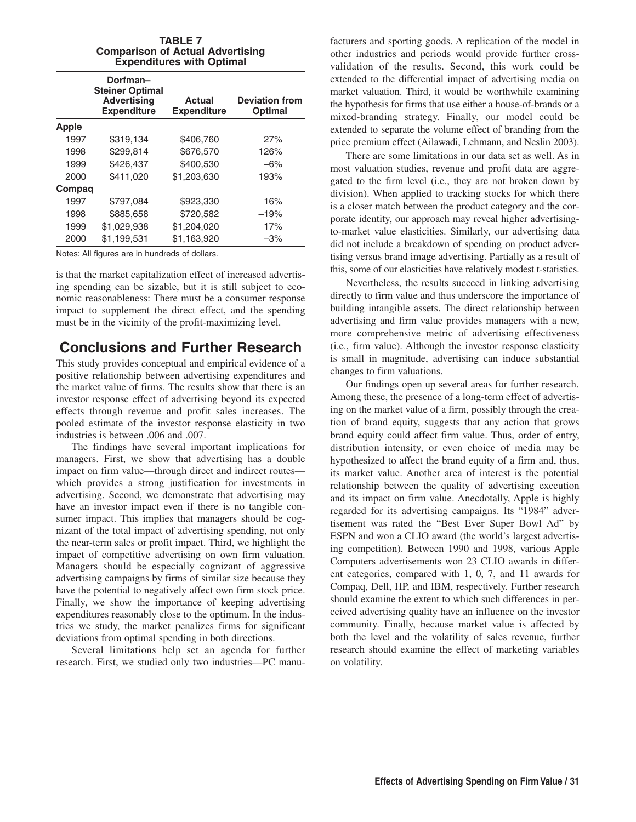| <b>TABLE 7</b>                          |  |
|-----------------------------------------|--|
| <b>Comparison of Actual Advertising</b> |  |
| <b>Expenditures with Optimal</b>        |  |

|        | Dorfman-<br><b>Steiner Optimal</b><br><b>Advertising</b><br><b>Expenditure</b> | Actual<br><b>Expenditure</b> | <b>Deviation from</b><br><b>Optimal</b> |
|--------|--------------------------------------------------------------------------------|------------------------------|-----------------------------------------|
| Apple  |                                                                                |                              |                                         |
| 1997   | \$319,134                                                                      | \$406,760                    | 27%                                     |
| 1998   | \$299,814                                                                      | \$676,570                    | 126%                                    |
| 1999   | \$426,437                                                                      | \$400,530                    | $-6%$                                   |
| 2000   | \$411.020                                                                      | \$1,203,630                  | 193%                                    |
| Compaq |                                                                                |                              |                                         |
| 1997   | \$797,084                                                                      | \$923,330                    | 16%                                     |
| 1998   | \$885,658                                                                      | \$720,582                    | $-19%$                                  |
| 1999   | \$1.029.938                                                                    | \$1.204.020                  | 17%                                     |
| 2000   | \$1.199.531                                                                    | \$1,163,920                  | $-3%$                                   |

Notes: All figures are in hundreds of dollars.

is that the market capitalization effect of increased advertising spending can be sizable, but it is still subject to economic reasonableness: There must be a consumer response impact to supplement the direct effect, and the spending must be in the vicinity of the profit-maximizing level.

# **Conclusions and Further Research**

This study provides conceptual and empirical evidence of a positive relationship between advertising expenditures and the market value of firms. The results show that there is an investor response effect of advertising beyond its expected effects through revenue and profit sales increases. The pooled estimate of the investor response elasticity in two industries is between .006 and .007.

The findings have several important implications for managers. First, we show that advertising has a double impact on firm value—through direct and indirect routes which provides a strong justification for investments in advertising. Second, we demonstrate that advertising may have an investor impact even if there is no tangible consumer impact. This implies that managers should be cognizant of the total impact of advertising spending, not only the near-term sales or profit impact. Third, we highlight the impact of competitive advertising on own firm valuation. Managers should be especially cognizant of aggressive advertising campaigns by firms of similar size because they have the potential to negatively affect own firm stock price. Finally, we show the importance of keeping advertising expenditures reasonably close to the optimum. In the industries we study, the market penalizes firms for significant deviations from optimal spending in both directions.

Several limitations help set an agenda for further research. First, we studied only two industries—PC manufacturers and sporting goods. A replication of the model in other industries and periods would provide further crossvalidation of the results. Second, this work could be extended to the differential impact of advertising media on market valuation. Third, it would be worthwhile examining the hypothesis for firms that use either a house-of-brands or a mixed-branding strategy. Finally, our model could be extended to separate the volume effect of branding from the price premium effect (Ailawadi, Lehmann, and Neslin 2003).

There are some limitations in our data set as well. As in most valuation studies, revenue and profit data are aggregated to the firm level (i.e., they are not broken down by division). When applied to tracking stocks for which there is a closer match between the product category and the corporate identity, our approach may reveal higher advertisingto-market value elasticities. Similarly, our advertising data did not include a breakdown of spending on product advertising versus brand image advertising. Partially as a result of this, some of our elasticities have relatively modest t-statistics.

Nevertheless, the results succeed in linking advertising directly to firm value and thus underscore the importance of building intangible assets. The direct relationship between advertising and firm value provides managers with a new, more comprehensive metric of advertising effectiveness (i.e., firm value). Although the investor response elasticity is small in magnitude, advertising can induce substantial changes to firm valuations.

Our findings open up several areas for further research. Among these, the presence of a long-term effect of advertising on the market value of a firm, possibly through the creation of brand equity, suggests that any action that grows brand equity could affect firm value. Thus, order of entry, distribution intensity, or even choice of media may be hypothesized to affect the brand equity of a firm and, thus, its market value. Another area of interest is the potential relationship between the quality of advertising execution and its impact on firm value. Anecdotally, Apple is highly regarded for its advertising campaigns. Its "1984" advertisement was rated the "Best Ever Super Bowl Ad" by ESPN and won a CLIO award (the world's largest advertising competition). Between 1990 and 1998, various Apple Computers advertisements won 23 CLIO awards in different categories, compared with 1, 0, 7, and 11 awards for Compaq, Dell, HP, and IBM, respectively. Further research should examine the extent to which such differences in perceived advertising quality have an influence on the investor community. Finally, because market value is affected by both the level and the volatility of sales revenue, further research should examine the effect of marketing variables on volatility.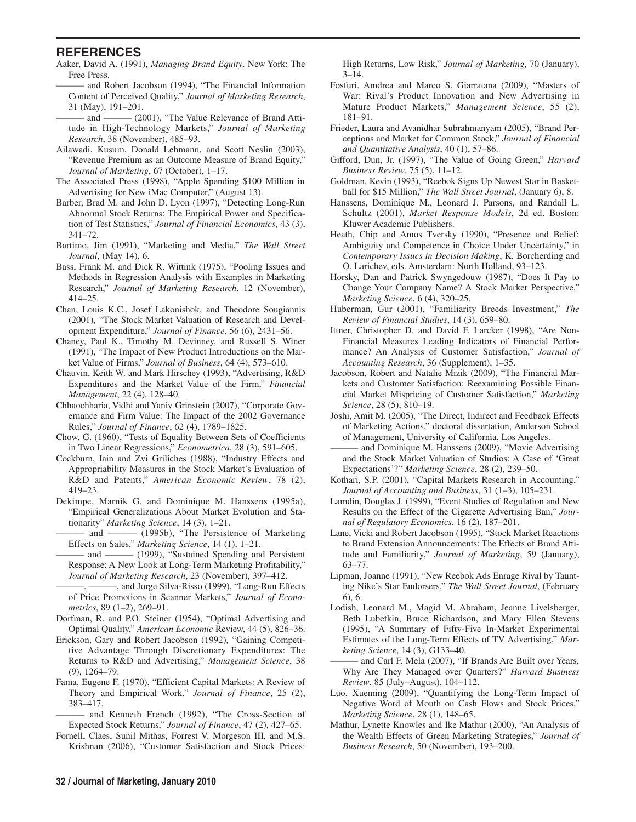#### **REFERENCES**

- Aaker, David A. (1991), *Managing Brand Equity*. New York: The Free Press.
	- and Robert Jacobson (1994), "The Financial Information Content of Perceived Quality," *Journal of Marketing Research*, 31 (May), 191–201.
	- and ——— (2001), "The Value Relevance of Brand Attitude in High-Technology Markets," *Journal of Marketing Research*, 38 (November), 485–93.
- Ailawadi, Kusum, Donald Lehmann, and Scott Neslin (2003), "Revenue Premium as an Outcome Measure of Brand Equity," *Journal of Marketing*, 67 (October), 1–17.
- The Associated Press (1998), "Apple Spending \$100 Million in Advertising for New iMac Computer," (August 13).
- Barber, Brad M. and John D. Lyon (1997), "Detecting Long-Run Abnormal Stock Returns: The Empirical Power and Specification of Test Statistics," *Journal of Financial Economics*, 43 (3), 341–72.
- Bartimo, Jim (1991), "Marketing and Media," *The Wall Street Journal*, (May 14), 6.
- Bass, Frank M. and Dick R. Wittink (1975), "Pooling Issues and Methods in Regression Analysis with Examples in Marketing Research," *Journal of Marketing Research*, 12 (November), 414–25.
- Chan, Louis K.C., Josef Lakonishok, and Theodore Sougiannis (2001), "The Stock Market Valuation of Research and Development Expenditure," *Journal of Finance*, 56 (6), 2431–56.
- Chaney, Paul K., Timothy M. Devinney, and Russell S. Winer (1991), "The Impact of New Product Introductions on the Market Value of Firms," *Journal of Business*, 64 (4), 573–610.
- Chauvin, Keith W. and Mark Hirschey (1993), "Advertising, R&D Expenditures and the Market Value of the Firm," *Financial Management*, 22 (4), 128–40.
- Chhaochharia, Vidhi and Yaniv Grinstein (2007), "Corporate Governance and Firm Value: The Impact of the 2002 Governance Rules," *Journal of Finance*, 62 (4), 1789–1825.
- Chow, G. (1960), "Tests of Equality Between Sets of Coefficients in Two Linear Regressions," *Econometrica*, 28 (3), 591–605.
- Cockburn, Iain and Zvi Griliches (1988), "Industry Effects and Appropriability Measures in the Stock Market's Evaluation of R&D and Patents," *American Economic Review*, 78 (2), 419–23.
- Dekimpe, Marnik G. and Dominique M. Hanssens (1995a), "Empirical Generalizations About Market Evolution and Stationarity" *Marketing Science*, 14 (3), 1–21.
- and ——— (1995b), "The Persistence of Marketing Effects on Sales," *Marketing Science*, 14 (1), 1–21.
- and ——— (1999), "Sustained Spending and Persistent Response: A New Look at Long-Term Marketing Profitability," *Journal of Marketing Research*, 23 (November), 397–412.

-, ———, and Jorge Silva-Risso (1999), "Long-Run Effects of Price Promotions in Scanner Markets," *Journal of Econometrics*, 89 (1–2), 269–91.

- Dorfman, R. and P.O. Steiner (1954), "Optimal Advertising and Optimal Quality," *American Economic* Review, 44 (5), 826–36.
- Erickson, Gary and Robert Jacobson (1992), "Gaining Competitive Advantage Through Discretionary Expenditures: The Returns to R&D and Advertising," *Management Science*, 38 (9), 1264–79.
- Fama, Eugene F. (1970), "Efficient Capital Markets: A Review of Theory and Empirical Work," *Journal of Finance*, 25 (2), 383–417.

- and Kenneth French (1992), "The Cross-Section of Expected Stock Returns," *Journal of Finance*, 47 (2), 427–65.

Fornell, Claes, Sunil Mithas, Forrest V. Morgeson III, and M.S. Krishnan (2006), "Customer Satisfaction and Stock Prices: High Returns, Low Risk," *Journal of Marketing*, 70 (January),  $3 - 14.$ 

- Fosfuri, Amdrea and Marco S. Giarratana (2009), "Masters of War: Rival's Product Innovation and New Advertising in Mature Product Markets," *Management Science*, 55 (2), 181–91.
- Frieder, Laura and Avanidhar Subrahmanyam (2005), "Brand Perceptions and Market for Common Stock," *Journal of Financial and Quantitative Analysis*, 40 (1), 57–86.
- Gifford, Dun, Jr. (1997), "The Value of Going Green," *Harvard Business Review*, 75 (5), 11–12.
- Goldman, Kevin (1993), "Reebok Signs Up Newest Star in Basketball for \$15 Million," *The Wall Street Journal*, (January 6), 8.
- Hanssens, Dominique M., Leonard J. Parsons, and Randall L. Schultz (2001), *Market Response Models*, 2d ed. Boston: Kluwer Academic Publishers.
- Heath, Chip and Amos Tversky (1990), "Presence and Belief: Ambiguity and Competence in Choice Under Uncertainty," in *Contemporary Issues in Decision Making*, K. Borcherding and O. Larichev, eds. Amsterdam: North Holland, 93–123.
- Horsky, Dan and Patrick Swyngedouw (1987), "Does It Pay to Change Your Company Name? A Stock Market Perspective," *Marketing Science*, 6 (4), 320–25.
- Huberman, Gur (2001), "Familiarity Breeds Investment," *The Review of Financial Studies*, 14 (3), 659–80.
- Ittner, Christopher D. and David F. Larcker (1998), "Are Non-Financial Measures Leading Indicators of Financial Performance? An Analysis of Customer Satisfaction," *Journal of Accounting Research*, 36 (Supplement), 1–35.
- Jacobson, Robert and Natalie Mizik (2009), "The Financial Markets and Customer Satisfaction: Reexamining Possible Financial Market Mispricing of Customer Satisfaction," *Marketing Science*, 28 (5), 810–19.
- Joshi, Amit M. (2005), "The Direct, Indirect and Feedback Effects of Marketing Actions," doctoral dissertation, Anderson School of Management, University of California, Los Angeles.
- and Dominique M. Hanssens (2009), "Movie Advertising and the Stock Market Valuation of Studios: A Case of 'Great Expectations'?" *Marketing Science*, 28 (2), 239–50.
- Kothari, S.P. (2001), "Capital Markets Research in Accounting," *Journal of Accounting and Business*, 31 (1–3), 105–231.
- Lamdin, Douglas J. (1999), "Event Studies of Regulation and New Results on the Effect of the Cigarette Advertising Ban," *Journal of Regulatory Economics*, 16 (2), 187–201.
- Lane, Vicki and Robert Jacobson (1995), "Stock Market Reactions to Brand Extension Announcements: The Effects of Brand Attitude and Familiarity," *Journal of Marketing*, 59 (January), 63–77.
- Lipman, Joanne (1991), "New Reebok Ads Enrage Rival by Taunting Nike's Star Endorsers," *The Wall Street Journal*, (February 6), 6.
- Lodish, Leonard M., Magid M. Abraham, Jeanne Livelsberger, Beth Lubetkin, Bruce Richardson, and Mary Ellen Stevens (1995), "A Summary of Fifty-Five In-Market Experimental Estimates of the Long-Term Effects of TV Advertising," *Marketing Science*, 14 (3), G133–40.

and Carl F. Mela (2007), "If Brands Are Built over Years, Why Are They Managed over Quarters?" *Harvard Business Review*, 85 (July–August), 104–112.

- Luo, Xueming (2009), "Quantifying the Long-Term Impact of Negative Word of Mouth on Cash Flows and Stock Prices," *Marketing Science*, 28 (1), 148–65.
- Mathur, Lynette Knowles and Ike Mathur (2000), "An Analysis of the Wealth Effects of Green Marketing Strategies," *Journal of Business Research*, 50 (November), 193–200.